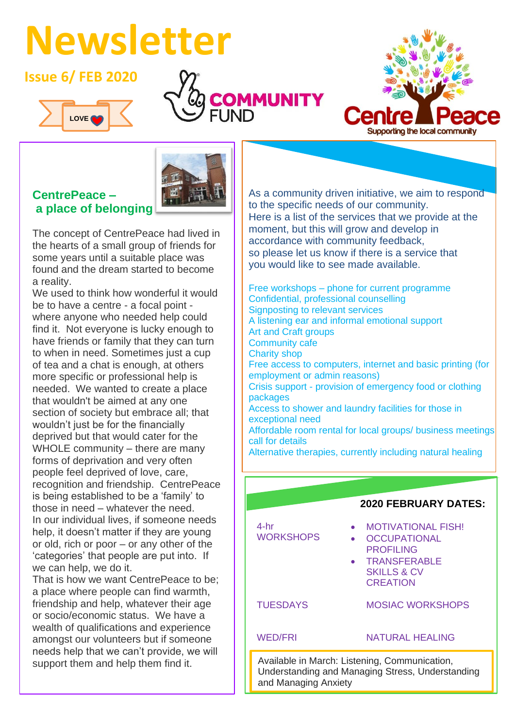# **Newsletter**

## **Issue 6/ FEB 2020**









The concept of CentrePeace had lived in the hearts of a small group of friends for some years until a suitable place was found and the dream started to become a reality.

We used to think how wonderful it would be to have a centre - a focal point where anyone who needed help could find it. Not everyone is lucky enough to have friends or family that they can turn to when in need. Sometimes just a cup of tea and a chat is enough, at others more specific or professional help is needed. We wanted to create a place that wouldn't be aimed at any one section of society but embrace all; that wouldn't just be for the financially deprived but that would cater for the WHOLE community – there are many forms of deprivation and very often people feel deprived of love, care, recognition and friendship. CentrePeace is being established to be a 'family' to those in need – whatever the need. In our individual lives, if someone needs help, it doesn't matter if they are young or old, rich or poor – or any other of the 'categories' that people are put into. If we can help, we do it.

That is how we want CentrePeace to be; a place where people can find warmth, friendship and help, whatever their age or socio/economic status. We have a wealth of qualifications and experience amongst our volunteers but if someone needs help that we can't provide, we will support them and help them find it.

As a community driven initiative, we aim to respond to the specific needs of our community. Here is a list of the services that we provide at the moment, but this will grow and develop in accordance with community feedback, so please let us know if there is a service that you would like to see made available.

Free workshops – phone for current programme Confidential, professional counselling Signposting to relevant services A listening ear and informal emotional support Art and Craft groups Community cafe Charity shop Free access to computers, internet and basic printing (for employment or admin reasons) Crisis support - provision of emergency food or clothing packages Access to shower and laundry facilities for those in exceptional need Affordable room rental for local groups/ business meetings call for details Alternative therapies, currently including natural healing



healist and the control of the control of the control of the control of the control of the control of the control of the control of the control of the control of the control of the control of the control of the control of